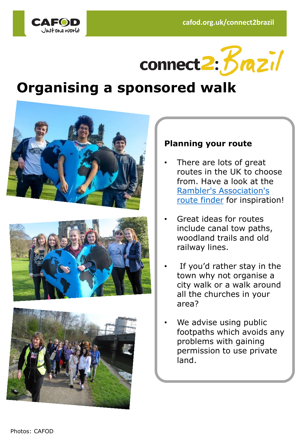



# **Organising a sponsored walk**







## **Planning your route**

- There are lots of great routes in the UK to choose from. Have a look at the [Rambler's Association's](http://www.ramblers.org.uk/go-walking/routes-and-places-to-walk/about-ramblers-routes/route-finder.aspx.) route finder for inspiration!
- Great ideas for routes include canal tow paths, woodland trails and old railway lines.
- If you'd rather stay in the town why not organise a city walk or a walk around all the churches in your area?
- We advise using public footpaths which avoids any problems with gaining permission to use private land.